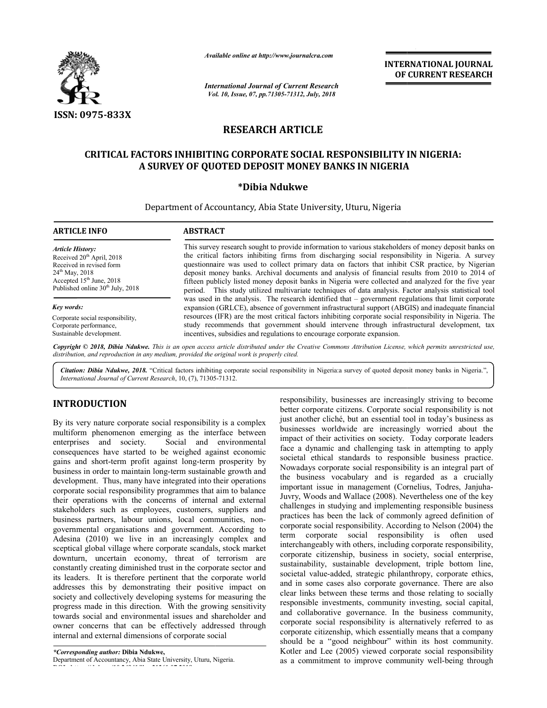

**ARTICLE INFO ABSTRACT**

*Available online at http://www.journalcra.com*

*International Journal of Current Research Vol. 10, Issue, 07, Vol. pp.71305-71312, July, 2018*

**INTERNATIONAL JOURNAL OF CURRENT RESEARCH**

# **RESEARCH ARTICLE**

# **CRITICAL FACTORS INHIBITING CORPORATE SOCIAL RESPONSIBILITY IN NIGERIA: A SURVEY OF QUOTED DEPOSIT MONEY BANKS IN NIGERIA A \*Dibia Ndukwe**

Department of Accountancy, Abia State University, Uturu, Nigeria

| <b>Article History:</b>                        | This survey research sought to provide information to various stakeholders of money deposit banks on                                                                                                                                                                                                                  |
|------------------------------------------------|-----------------------------------------------------------------------------------------------------------------------------------------------------------------------------------------------------------------------------------------------------------------------------------------------------------------------|
| Received $20th$ April, 2018                    | the critical factors inhibiting firms from discharging social responsibility in Nigeria. A survey                                                                                                                                                                                                                     |
| Received in revised form                       | questionnaire was used to collect primary data on factors that inhibit CSR practice, by Nigerian                                                                                                                                                                                                                      |
| $24^{th}$ May, 2018                            | deposit money banks. Archival documents and analysis of financial results from 2010 to 2014 of                                                                                                                                                                                                                        |
| Accepted $15th$ June, 2018                     | fifteen publicly listed money deposit banks in Nigeria were collected and analyzed for the five year                                                                                                                                                                                                                  |
| Published online $30th$ July, 2018             | period. This study utilized multivariate techniques of data analysis. Factor analysis statistical tool                                                                                                                                                                                                                |
| Key words:<br>Corporate social responsibility, | was used in the analysis. The research identified that – government regulations that limit corporate<br>expansion (GRLCE), absence of government infrastructural support (ABGIS) and inadequate financial<br>resources (IFR) are the most critical factors inhibiting corporate social responsibility in Nigeria. The |
| Corporate performance,                         | study recommends that government should intervene through infrastructural development, tax                                                                                                                                                                                                                            |
| Sustainable development.                       | incentives, subsidies and regulations to encourage corporate expansion.                                                                                                                                                                                                                                               |

Copyright © 2018, Dibia Ndukwe. This is an open access article distributed under the Creative Commons Attribution License, which permits unrestricted use, *distribution, and reproduction in any medium, provided the original work is properly cited.*

Citation: Dibia Ndukwe, 2018. "Critical factors inhibiting corporate social responsibility in Nigeria:a survey of quoted deposit money banks in Nigeria.", *International Journal of Current Research*, 10, (7), 71305 71305-71312.

# **INTRODUCTION**

By its very nature corporate social responsibility is a complex multiform phenomenon emerging as the interface between<br>enterprises and society. Social and environmental Social and environmental consequences have started to be weighed against economic gains and short-term profit against long-term prosperity by business in order to maintain long-term sustainable growth and development. Thus, many have integrated into their operations corporate social responsibility programmes that aim to balance their operations with the concerns of internal and external stakeholders such as employees, customers, suppliers and business partners, labour unions, local communities, nongovernmental organisations and government. According to Adesina (2010) we live in an increasingly complex and sceptical global village where corporate scandals, stock market downturn, uncertain economy, threat of terrorism are constantly creating diminished trust in the corporate sector and its leaders. It is therefore pertinent that the corporate world addresses this by demonstrating their positive impact on society and collectively developing systems for measuring the progress made in this direction. With the growing sensitivity towards social and environmental issues and shareholder and owner concerns that can be effectively addressed through internal and external dimensions of corporate social By its very nature corporate social responsibility is a complex multiform phenomenon emerging as the interface between enterprises and society. Social and environmental consequences have started to be weighed against econo sceptical global village where corporate scandals, stock market<br>downturn, uncertain economy, threat of terrorism are<br>constantly creating diminished trust in the corporate sector and<br>its leaders. It is therefore pertinent t responsibility, businesses are increasingly striving to become better corporate citizens. Corporate social responsibility is not just another cliché, but an essential tool in today's business as businesses worldwide are increasingly worried about the impact of their activities on society. Today corporate leaders impact of their activities on society. Today corporate leaders face a dynamic and challenging task in attempting to apply societal ethical standards to responsible business practice. Nowadays corporate social responsibility is an integral part of the business vocabulary and is regarded as a crucially important issue in management (Cornelius, Todres, Janjuha-Juvry, Woods and Wallace (2008). Nevertheless one of the key challenges in studying and implementing responsible business practices has been the lack of commonly agreed definition of corporate social responsibility. According to Nelson (2004) the term corporate social responsibility is often used interchangeably with others, including corporate responsibility, corporate citizenship, business in society, social enterprise, sustainability, sustainable development, triple bottom line, societal value-added, strategic philanthropy, corporate ethics, and in some cases also corporate governance. There are also clear links between these terms and those relating to socially responsible investments, community investing, social capital, and collaborative governance. In the business community, corporate social responsibility is alternatively referred to as corporate citizenship, which essentially means that a company should be a "good neighbour" within its host community. Kotler and Lee (2005) viewed corporate social responsibility as a commitment to improve community well-being through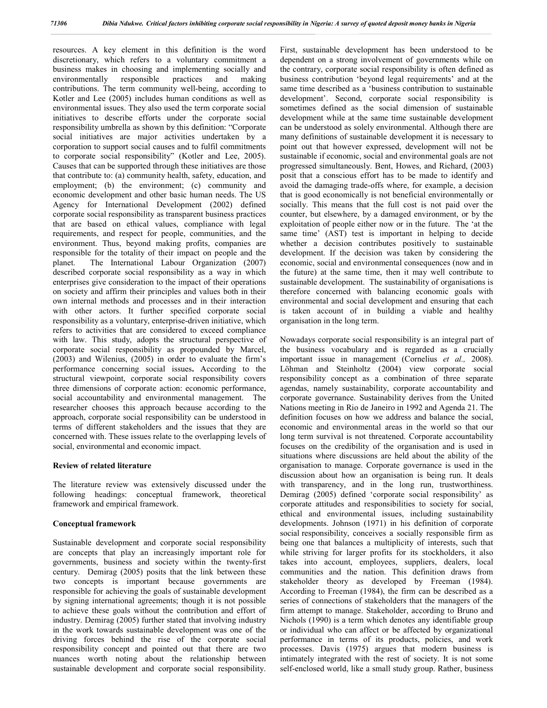resources. A key element in this definition is the word discretionary, which refers to a voluntary commitment a business makes in choosing and implementing socially and environmentally responsible practices and making contributions. The term community well-being, according to Kotler and Lee (2005) includes human conditions as well as environmental issues. They also used the term corporate social initiatives to describe efforts under the corporate social responsibility umbrella as shown by this definition: "Corporate social initiatives are major activities undertaken by a corporation to support social causes and to fulfil commitments to corporate social responsibility" (Kotler and Lee, 2005). Causes that can be supported through these initiatives are those that contribute to: (a) community health, safety, education, and employment; (b) the environment; (c) community and economic development and other basic human needs. The US Agency for International Development (2002) defined corporate social responsibility as transparent business practices that are based on ethical values, compliance with legal requirements, and respect for people, communities, and the environment. Thus, beyond making profits, companies are responsible for the totality of their impact on people and the planet. The International Labour Organization (2007) described corporate social responsibility as a way in which enterprises give consideration to the impact of their operations on society and affirm their principles and values both in their own internal methods and processes and in their interaction with other actors. It further specified corporate social responsibility as a voluntary, enterprise-driven initiative, which refers to activities that are considered to exceed compliance with law. This study, adopts the structural perspective of corporate social responsibility as propounded by Marcel, (2003) and Wilenius, (2005) in order to evaluate the firm's performance concerning social issues**.** According to the structural viewpoint, corporate social responsibility covers three dimensions of corporate action: economic performance, social accountability and environmental management. The researcher chooses this approach because according to the approach, corporate social responsibility can be understood in terms of different stakeholders and the issues that they are concerned with. These issues relate to the overlapping levels of social, environmental and economic impact.

#### **Review of related literature**

The literature review was extensively discussed under the following headings: conceptual framework, theoretical framework and empirical framework.

#### **Conceptual framework**

Sustainable development and corporate social responsibility are concepts that play an increasingly important role for governments, business and society within the twenty-first century. Demirag (2005) posits that the link between these two concepts is important because governments are responsible for achieving the goals of sustainable development by signing international agreements; though it is not possible to achieve these goals without the contribution and effort of industry. Demirag (2005) further stated that involving industry in the work towards sustainable development was one of the driving forces behind the rise of the corporate social responsibility concept and pointed out that there are two nuances worth noting about the relationship between sustainable development and corporate social responsibility.

First, sustainable development has been understood to be dependent on a strong involvement of governments while on the contrary, corporate social responsibility is often defined as business contribution 'beyond legal requirements' and at the same time described as a 'business contribution to sustainable development'. Second, corporate social responsibility is sometimes defined as the social dimension of sustainable development while at the same time sustainable development can be understood as solely environmental. Although there are many definitions of sustainable development it is necessary to point out that however expressed, development will not be sustainable if economic, social and environmental goals are not progressed simultaneously. Bent, Howes, and Richard, (2003) posit that a conscious effort has to be made to identify and avoid the damaging trade-offs where, for example, a decision that is good economically is not beneficial environmentally or socially. This means that the full cost is not paid over the counter, but elsewhere, by a damaged environment, or by the exploitation of people either now or in the future. The 'at the same time' (AST) test is important in helping to decide whether a decision contributes positively to sustainable development. If the decision was taken by considering the economic, social and environmental consequences (now and in the future) at the same time, then it may well contribute to sustainable development. The sustainability of organisations is therefore concerned with balancing economic goals with environmental and social development and ensuring that each is taken account of in building a viable and healthy organisation in the long term.

Nowadays corporate social responsibility is an integral part of the business vocabulary and is regarded as a crucially important issue in management (Cornelius *et al.,* 2008). Löhman and Steinholtz (2004) view corporate social responsibility concept as a combination of three separate agendas, namely sustainability, corporate accountability and corporate governance. Sustainability derives from the United Nations meeting in Rio de Janeiro in 1992 and Agenda 21. The definition focuses on how we address and balance the social, economic and environmental areas in the world so that our long term survival is not threatened. Corporate accountability focuses on the credibility of the organisation and is used in situations where discussions are held about the ability of the organisation to manage. Corporate governance is used in the discussion about how an organisation is being run. It deals with transparency, and in the long run, trustworthiness. Demirag (2005) defined 'corporate social responsibility' as corporate attitudes and responsibilities to society for social, ethical and environmental issues, including sustainability developments. Johnson (1971) in his definition of corporate social responsibility, conceives a socially responsible firm as being one that balances a multiplicity of interests, such that while striving for larger profits for its stockholders, it also takes into account, employees, suppliers, dealers, local communities and the nation. This definition draws from stakeholder theory as developed by Freeman (1984). According to Freeman (1984), the firm can be described as a series of connections of stakeholders that the managers of the firm attempt to manage. Stakeholder, according to Bruno and Nichols (1990) is a term which denotes any identifiable group or individual who can affect or be affected by organizational performance in terms of its products, policies, and work processes. Davis (1975) argues that modern business is intimately integrated with the rest of society. It is not some self-enclosed world, like a small study group. Rather, business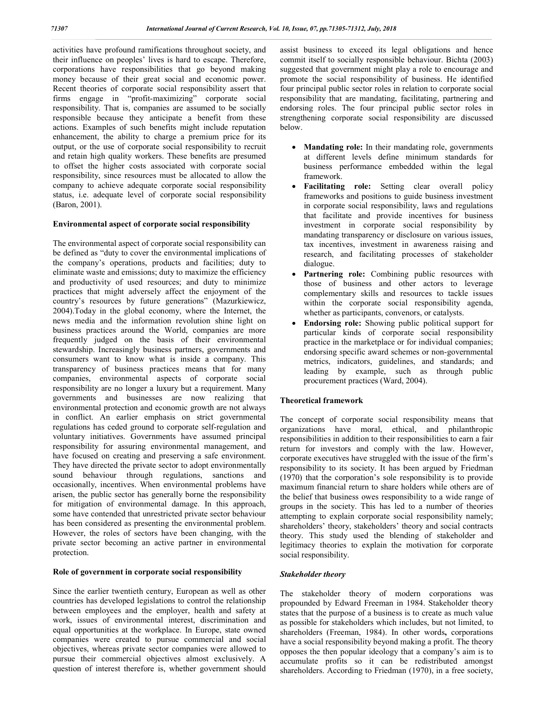activities have profound ramifications throughout society, and their influence on peoples' lives is hard to escape. Therefore, corporations have responsibilities that go beyond making money because of their great social and economic power. Recent theories of corporate social responsibility assert that firms engage in "profit-maximizing" corporate social responsibility. That is, companies are assumed to be socially responsible because they anticipate a benefit from these actions. Examples of such benefits might include reputation enhancement, the ability to charge a premium price for its output, or the use of corporate social responsibility to recruit and retain high quality workers. These benefits are presumed to offset the higher costs associated with corporate social responsibility, since resources must be allocated to allow the company to achieve adequate corporate social responsibility status, i.e. adequate level of corporate social responsibility (Baron, 2001).

#### **Environmental aspect of corporate social responsibility**

The environmental aspect of corporate social responsibility can be defined as "duty to cover the environmental implications of the company's operations, products and facilities; duty to eliminate waste and emissions; duty to maximize the efficiency and productivity of used resources; and duty to minimize practices that might adversely affect the enjoyment of the country's resources by future generations" (Mazurkiewicz, 2004).Today in the global economy, where the Internet, the news media and the information revolution shine light on business practices around the World, companies are more frequently judged on the basis of their environmental stewardship. Increasingly business partners, governments and consumers want to know what is inside a company. This transparency of business practices means that for many companies, environmental aspects of corporate social responsibility are no longer a luxury but a requirement. Many governments and businesses are now realizing that environmental protection and economic growth are not always in conflict. An earlier emphasis on strict governmental regulations has ceded ground to corporate self-regulation and voluntary initiatives. Governments have assumed principal responsibility for assuring environmental management, and have focused on creating and preserving a safe environment. They have directed the private sector to adopt environmentally sound behaviour through regulations, sanctions and occasionally, incentives. When environmental problems have arisen, the public sector has generally borne the responsibility for mitigation of environmental damage. In this approach, some have contended that unrestricted private sector behaviour has been considered as presenting the environmental problem. However, the roles of sectors have been changing, with the private sector becoming an active partner in environmental protection.

#### **Role of government in corporate social responsibility**

Since the earlier twentieth century, European as well as other countries has developed legislations to control the relationship between employees and the employer, health and safety at work, issues of environmental interest, discrimination and equal opportunities at the workplace. In Europe, state owned companies were created to pursue commercial and social objectives, whereas private sector companies were allowed to pursue their commercial objectives almost exclusively. A question of interest therefore is, whether government should

assist business to exceed its legal obligations and hence commit itself to socially responsible behaviour. Bichta (2003) suggested that government might play a role to encourage and promote the social responsibility of business. He identified four principal public sector roles in relation to corporate social responsibility that are mandating, facilitating, partnering and endorsing roles. The four principal public sector roles in strengthening corporate social responsibility are discussed below.

- **Mandating role:** In their mandating role, governments at different levels define minimum standards for business performance embedded within the legal framework.
- **Facilitating role:** Setting clear overall policy frameworks and positions to guide business investment in corporate social responsibility, laws and regulations that facilitate and provide incentives for business investment in corporate social responsibility by mandating transparency or disclosure on various issues, tax incentives, investment in awareness raising and research, and facilitating processes of stakeholder dialogue.
- Partnering role: Combining public resources with those of business and other actors to leverage complementary skills and resources to tackle issues within the corporate social responsibility agenda, whether as participants, convenors, or catalysts.
- **Endorsing role:** Showing public political support for particular kinds of corporate social responsibility practice in the marketplace or for individual companies; endorsing specific award schemes or non-governmental metrics, indicators, guidelines, and standards; and leading by example, such as through public procurement practices (Ward, 2004).

#### **Theoretical framework**

The concept of corporate social responsibility means that organizations have moral, ethical, and philanthropic responsibilities in addition to their responsibilities to earn a fair return for investors and comply with the law. However, corporate executives have struggled with the issue of the firm's responsibility to its society. It has been argued by Friedman (1970) that the corporation's sole responsibility is to provide maximum financial return to share holders while others are of the belief that business owes responsibility to a wide range of groups in the society. This has led to a number of theories attempting to explain corporate social responsibility namely; shareholders' theory, stakeholders' theory and social contracts theory. This study used the blending of stakeholder and legitimacy theories to explain the motivation for corporate social responsibility.

#### *Stakeholder theory*

The stakeholder theory of modern corporations was propounded by Edward Freeman in 1984. Stakeholder theory states that the purpose of a business is to create as much value as possible for stakeholders which includes, but not limited, to shareholders (Freeman, 1984). In other words**,** corporations have a social responsibility beyond making a profit. The theory opposes the then popular ideology that a company's aim is to accumulate profits so it can be redistributed amongst shareholders. According to Friedman (1970), in a free society,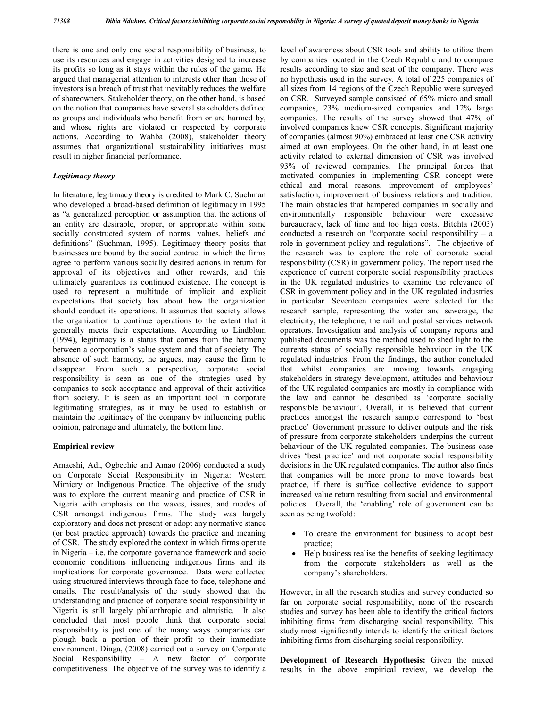there is one and only one social responsibility of business, to use its resources and engage in activities designed to increase its profits so long as it stays within the rules of the game*.* He argued that managerial attention to interests other than those of investors is a breach of trust that inevitably reduces the welfare of shareowners. Stakeholder theory, on the other hand, is based on the notion that companies have several stakeholders defined as groups and individuals who benefit from or are harmed by, and whose rights are violated or respected by corporate actions. According to Wahba (2008), stakeholder theory assumes that organizational sustainability initiatives must result in higher financial performance.

#### *Legitimacy theory*

In literature, legitimacy theory is credited to Mark C. Suchman who developed a broad-based definition of legitimacy in 1995 as "a generalized perception or assumption that the actions of an entity are desirable, proper, or appropriate within some socially constructed system of norms, values, beliefs and definitions" (Suchman, 1995). Legitimacy theory posits that businesses are bound by the social contract in which the firms agree to perform various socially desired actions in return for approval of its objectives and other rewards, and this ultimately guarantees its continued existence. The concept is used to represent a multitude of implicit and explicit expectations that society has about how the organization should conduct its operations. It assumes that society allows the organization to continue operations to the extent that it generally meets their expectations. According to Lindblom (1994), legitimacy is a status that comes from the harmony between a corporation's value system and that of society. The absence of such harmony, he argues, may cause the firm to disappear. From such a perspective, corporate social responsibility is seen as one of the strategies used by companies to seek acceptance and approval of their activities from society. It is seen as an important tool in corporate legitimating strategies, as it may be used to establish or maintain the legitimacy of the company by influencing public opinion, patronage and ultimately, the bottom line.

#### **Empirical review**

Amaeshi, Adi, Ogbechie and Amao (2006) conducted a study on Corporate Social Responsibility in Nigeria: Western Mimicry or Indigenous Practice. The objective of the study was to explore the current meaning and practice of CSR in Nigeria with emphasis on the waves, issues, and modes of CSR amongst indigenous firms. The study was largely exploratory and does not present or adopt any normative stance (or best practice approach) towards the practice and meaning of CSR. The study explored the context in which firms operate in Nigeria – i.e. the corporate governance framework and socio economic conditions influencing indigenous firms and its implications for corporate governance. Data were collected using structured interviews through face-to-face, telephone and emails. The result/analysis of the study showed that the understanding and practice of corporate social responsibility in Nigeria is still largely philanthropic and altruistic. It also concluded that most people think that corporate social responsibility is just one of the many ways companies can plough back a portion of their profit to their immediate environment. Dinga, (2008) carried out a survey on Corporate Social Responsibility – A new factor of corporate competitiveness. The objective of the survey was to identify a

level of awareness about CSR tools and ability to utilize them by companies located in the Czech Republic and to compare results according to size and seat of the company. There was no hypothesis used in the survey. A total of 225 companies of all sizes from 14 regions of the Czech Republic were surveyed on CSR. Surveyed sample consisted of 65% micro and small companies, 23% medium-sized companies and 12% large companies. The results of the survey showed that 47% of involved companies knew CSR concepts. Significant majority of companies (almost 90%) embraced at least one CSR activity aimed at own employees. On the other hand, in at least one activity related to external dimension of CSR was involved 93% of reviewed companies. The principal forces that motivated companies in implementing CSR concept were ethical and moral reasons, improvement of employees' satisfaction, improvement of business relations and tradition. The main obstacles that hampered companies in socially and environmentally responsible behaviour were excessive bureaucracy, lack of time and too high costs. Bitchta (2003) conducted a research on "corporate social responsibility – a role in government policy and regulations". The objective of the research was to explore the role of corporate social responsibility (CSR) in government policy. The report used the experience of current corporate social responsibility practices in the UK regulated industries to examine the relevance of CSR in government policy and in the UK regulated industries in particular. Seventeen companies were selected for the research sample, representing the water and sewerage, the electricity, the telephone, the rail and postal services network operators. Investigation and analysis of company reports and published documents was the method used to shed light to the currents status of socially responsible behaviour in the UK regulated industries. From the findings, the author concluded that whilst companies are moving towards engaging stakeholders in strategy development, attitudes and behaviour of the UK regulated companies are mostly in compliance with the law and cannot be described as 'corporate socially responsible behaviour'. Overall, it is believed that current practices amongst the research sample correspond to 'best practice' Government pressure to deliver outputs and the risk of pressure from corporate stakeholders underpins the current behaviour of the UK regulated companies. The business case drives 'best practice' and not corporate social responsibility decisions in the UK regulated companies. The author also finds that companies will be more prone to move towards best practice, if there is suffice collective evidence to support increased value return resulting from social and environmental policies. Overall, the 'enabling' role of government can be seen as being twofold:

- To create the environment for business to adopt best practice;
- Help business realise the benefits of seeking legitimacy from the corporate stakeholders as well as the company's shareholders.

However, in all the research studies and survey conducted so far on corporate social responsibility, none of the research studies and survey has been able to identify the critical factors inhibiting firms from discharging social responsibility. This study most significantly intends to identify the critical factors inhibiting firms from discharging social responsibility.

**Development of Research Hypothesis:** Given the mixed results in the above empirical review, we develop the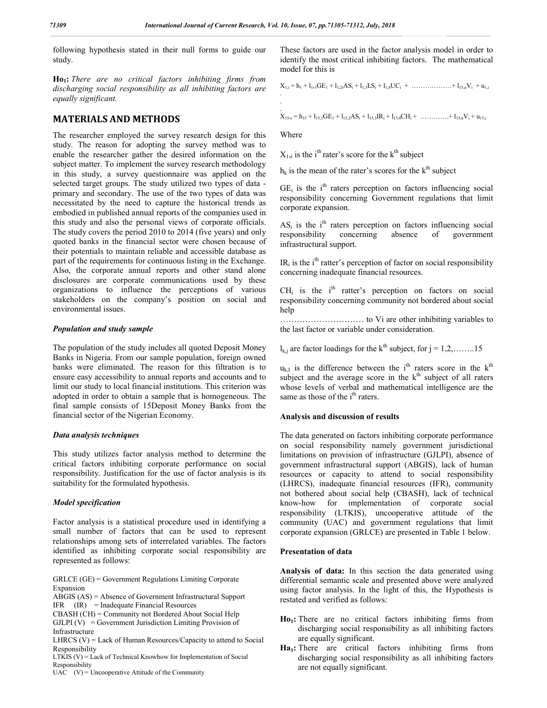following hypothesis stated in their null forms to guide our study.

**Ho1:** *There are no critical factors inhibiting firms from discharging social responsibility as all inhibiting factors are equally significant.*

#### **MATERIALS AND METHODS**

The researcher employed the survey research design for this study. The reason for adopting the survey method was to enable the researcher gather the desired information on the subject matter. To implement the survey research methodology in this study, a survey questionnaire was applied on the selected target groups. The study utilized two types of data primary and secondary. The use of the two types of data was necessitated by the need to capture the historical trends as embodied in published annual reports of the companies used in this study and also the personal views of corporate officials. The study covers the period 2010 to 2014 (five years) and only quoted banks in the financial sector were chosen because of their potentials to maintain reliable and accessible database as part of the requirements for continuous listing in the Exchange. Also, the corporate annual reports and other stand alone disclosures are corporate communications used by these organizations to influence the perceptions of various stakeholders on the company's position on social and environmental issues.

#### *Population and study sample*

The population of the study includes all quoted Deposit Money Banks in Nigeria. From our sample population, foreign owned banks were eliminated. The reason for this filtration is to ensure easy accessibility to annual reports and accounts and to limit our study to local financial institutions. This criterion was adopted in order to obtain a sample that is homogeneous. The final sample consists of 15Deposit Money Banks from the financial sector of the Nigerian Economy.

#### *Data analysis techniques*

This study utilizes factor analysis method to determine the critical factors inhibiting corporate performance on social responsibility. Justification for the use of factor analysis is its suitability for the formulated hypothesis.

#### *Model specification*

Factor analysis is a statistical procedure used in identifying a small number of factors that can be used to represent relationships among sets of interrelated variables. The factors identified as inhibiting corporate social responsibility are represented as follows:

GRLCE (GE) = Government Regulations Limiting Corporate Expansion

ABGIS (AS) = Absence of Government Infrastructural Support IFR (IR) = Inadequate Financial Resources

CBASH (CH) = Community not Bordered About Social Help

 $GILPI (V) = Government Jurisdiction Limiting Provision of$ Infrastructure

LHRCS  $(V)$  = Lack of Human Resources/Capacity to attend to Social Responsibility

LTKIS (V) = Lack of Technical Knowhow for Implementation of Social Responsibility

UAC  $(V)$  = Uncooperative Attitude of the Community

These factors are used in the factor analysis model in order to identify the most critical inhibiting factors. The mathematical model for this is

 $X_{1,i} = h_1 + l_{1,i}GE_1 + l_{1,i}AS_i + l_{1,i}LS_i + l_{1,i}UC_i + \ldots + l_{15n}V_i + u_{1,i}$ .

.  $X_{15,i} = h_{15} + l_{15,1}GE_1 + l_{15,2}AS_i + l_{15,3}IR_i + l_{15,4}CH_i + \ldots + l_{15,n}V_i + u_{15,i}$ 

Where

.

 $X_{1,i}$  is the i<sup>th</sup> rater's score for the k<sup>th</sup> subject

 $h_k$  is the mean of the rater's scores for the  $k^{\text{th}}$  subject

 $GE_i$  is the i<sup>th</sup> raters perception on factors influencing social responsibility concerning Government regulations that limit corporate expansion.

 $AS_i$  is the i<sup>th</sup> raters perception on factors influencing social responsibility concerning absence of government responsibility concerning infrastructural support.

 $IR_i$  is the i<sup>th</sup> ratter's perception of factor on social responsibility concerning inadequate financial resources.

 $CH<sub>i</sub>$  is the i<sup>th</sup> ratter's perception on factors on social responsibility concerning community not bordered about social help

………………………… to Vi are other inhibiting variables to the last factor or variable under consideration.

 $l_{k,i}$  are factor loadings for the k<sup>th</sup> subject, for  $j = 1, 2, \ldots, 15$ 

 $u_{k,I}$  is the difference between the i<sup>th</sup> raters score in the k<sup>th</sup> subject and the average score in the  $k<sup>th</sup>$  subject of all raters whose levels of verbal and mathematical intelligence are the same as those of the i<sup>th</sup> raters.

#### **Analysis and discussion of results**

The data generated on factors inhibiting corporate performance on social responsibility namely government jurisdictional limitations on provision of infrastructure (GJLPI), absence of government infrastructural support (ABGIS), lack of human resources or capacity to attend to social responsibility (LHRCS), inadequate financial resources (IFR), community not bothered about social help (CBASH), lack of technical know-how for implementation of corporate social responsibility (LTKIS), uncooperative attitude of the community (UAC) and government regulations that limit corporate expansion (GRLCE) are presented in Table 1 below.

#### **Presentation of data**

**Analysis of data:** In this section the data generated using differential semantic scale and presented above were analyzed using factor analysis. In the light of this, the Hypothesis is restated and verified as follows:

- Ho<sub>1</sub>: There are no critical factors inhibiting firms from discharging social responsibility as all inhibiting factors are equally significant.
- Ha<sub>1</sub>: There are critical factors inhibiting firms from discharging social responsibility as all inhibiting factors are not equally significant.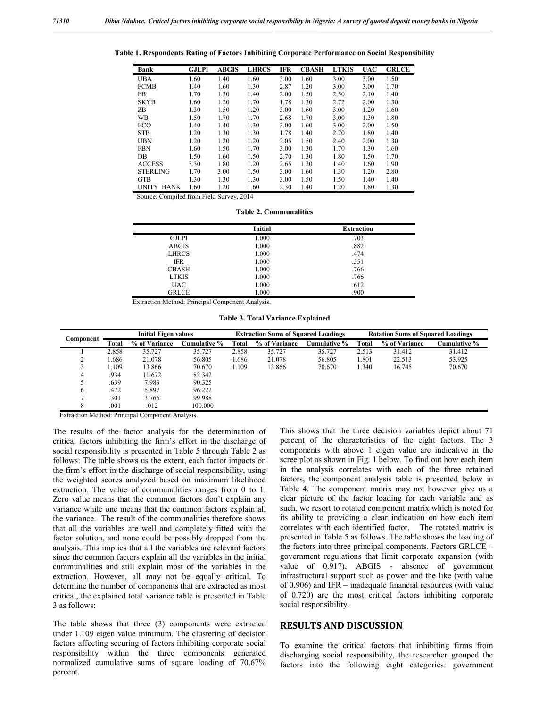|  |  |  |  |  | Table 1. Respondents Rating of Factors Inhibiting Corporate Performance on Social Responsibility |
|--|--|--|--|--|--------------------------------------------------------------------------------------------------|
|--|--|--|--|--|--------------------------------------------------------------------------------------------------|

| Bank              | <b>GJLPI</b> | <b>ABGIS</b> | <b>LHRCS</b> | <b>IFR</b> | <b>CBASH</b> | <b>LTKIS</b> | <b>UAC</b> | <b>GRLCE</b> |
|-------------------|--------------|--------------|--------------|------------|--------------|--------------|------------|--------------|
| <b>UBA</b>        | 1.60         | 1.40         | 1.60         | 3.00       | 1.60         | 3.00         | 3.00       | 1.50         |
| <b>FCMB</b>       | 1.40         | 1.60         | 1.30         | 2.87       | 1.20         | 3.00         | 3.00       | 1.70         |
| <b>FB</b>         | 1.70         | 1.30         | 1.40         | 2.00       | 1.50         | 2.50         | 2.10       | 1.40         |
| <b>SKYB</b>       | 1.60         | 1.20         | 1.70         | 1.78       | 1.30         | 2.72         | 2.00       | 1.30         |
| ZΒ                | 1.30         | 1.50         | 1.20         | 3.00       | 1.60         | 3.00         | 1.20       | 1.60         |
| <b>WB</b>         | 1.50         | 1.70         | 1.70         | 2.68       | 1.70         | 3.00         | 1.30       | 1.80         |
| ECO               | 1.40         | 1.40         | 1.30         | 3.00       | 1.60         | 3.00         | 2.00       | 1.50         |
| <b>STB</b>        | 1.20         | 1.30         | 1.30         | 1.78       | 1.40         | 2.70         | 1.80       | 1.40         |
| <b>UBN</b>        | 1.20         | 1.20         | 1.20         | 2.05       | 1.50         | 2.40         | 2.00       | 1.30         |
| <b>FBN</b>        | 1.60         | 1.50         | 1.70         | 3.00       | 1.30         | 1.70         | 1.30       | 1.60         |
| DB                | 1.50         | 1.60         | 1.50         | 2.70       | 1.30         | 1.80         | 1.50       | 1.70         |
| <b>ACCESS</b>     | 3.30         | 1.80         | 1.20         | 2.65       | 1.20         | 1.40         | 1.60       | 1.90         |
| <b>STERLING</b>   | 1.70         | 3.00         | 1.50         | 3.00       | 1.60         | 1.30         | 1.20       | 2.80         |
| <b>GTB</b>        | 1.30         | 1.30         | 1.30         | 3.00       | 1.50         | 1.50         | 1.40       | 1.40         |
| <b>UNITY BANK</b> | 1.60         | 1.20         | 1.60         | 2.30       | 1.40         | 1.20         | 1.80       | 1.30         |

Source: Compiled from Field Survey, 2014

**Table 2. Communalities**

|              | Initial | <b>Extraction</b> |
|--------------|---------|-------------------|
| <b>GJLPI</b> | 1.000   | .703              |
| <b>ABGIS</b> | 1.000   | .882              |
| <b>LHRCS</b> | 1.000   | .474              |
| <b>IFR</b>   | 1.000   | .551              |
| <b>CBASH</b> | 1.000   | .766              |
| <b>LTKIS</b> | 1.000   | .766              |
| <b>UAC</b>   | 1.000   | .612              |
| <b>GRLCE</b> | 1.000   | .900              |

Extraction Method: Principal Component Analysis.

**Table 3. Total Variance Explained**

|           | <b>Initial Eigen values</b> |               |              | <b>Extraction Sums of Squared Loadings</b> |               |                     | <b>Rotation Sums of Squared Loadings</b> |               |              |
|-----------|-----------------------------|---------------|--------------|--------------------------------------------|---------------|---------------------|------------------------------------------|---------------|--------------|
| Component | Total                       | % of Variance | Cumulative % | Total                                      | % of Variance | <b>Cumulative %</b> | Total                                    | % of Variance | Cumulative % |
|           | 2.858                       | 35.727        | 35.727       | 2.858                                      | 35.727        | 35.727              | 2.513                                    | 31.412        | 31.412       |
|           | .686                        | 21.078        | 56.805       | 1.686                                      | 21.078        | 56.805              | 1.801                                    | 22.513        | 53.925       |
|           | .109                        | 13.866        | 70.670       | 1.109                                      | 13.866        | 70.670              | 1.340                                    | 16.745        | 70.670       |
| 4         | .934                        | 11.672        | 82.342       |                                            |               |                     |                                          |               |              |
|           | .639                        | 7.983         | 90.325       |                                            |               |                     |                                          |               |              |
| 6         | .472                        | 5.897         | 96.222       |                                            |               |                     |                                          |               |              |
|           | .301                        | 3.766         | 99.988       |                                            |               |                     |                                          |               |              |
| $\circ$   | .001                        | .012          | 100,000      |                                            |               |                     |                                          |               |              |

Extraction Method: Principal Component Analysis.

The results of the factor analysis for the determination of critical factors inhibiting the firm's effort in the discharge of social responsibility is presented in Table 5 through Table 2 as follows: The table shows us the extent, each factor impacts on the firm's effort in the discharge of social responsibility, using the weighted scores analyzed based on maximum likelihood extraction. The value of communalities ranges from 0 to 1. Zero value means that the common factors don't explain any variance while one means that the common factors explain all the variance. The result of the communalities therefore shows that all the variables are well and completely fitted with the factor solution, and none could be possibly dropped from the analysis. This implies that all the variables are relevant factors since the common factors explain all the variables in the initial cummunalities and still explain most of the variables in the extraction. However, all may not be equally critical. To determine the number of components that are extracted as most critical, the explained total variance table is presented in Table 3 as follows:

The table shows that three (3) components were extracted under 1.109 eigen value minimum. The clustering of decision factors affecting securing of factors inhibiting corporate social responsibility within the three components generated normalized cumulative sums of square loading of 70.67% percent.

This shows that the three decision variables depict about 71 percent of the characteristics of the eight factors. The 3 components with above 1 elgen value are indicative in the scree plot as shown in Fig. 1 below. To find out how each item in the analysis correlates with each of the three retained factors, the component analysis table is presented below in Table 4. The component matrix may not however give us a clear picture of the factor loading for each variable and as such, we resort to rotated component matrix which is noted for its ability to providing a clear indication on how each item correlates with each identified factor. The rotated matrix is presented in Table 5 as follows. The table shows the loading of the factors into three principal components. Factors GRLCE – government regulations that limit corporate expansion (with value of 0.917), ABGIS - absence of government infrastructural support such as power and the like (with value of 0.906) and IFR – inadequate financial resources (with value of 0.720) are the most critical factors inhibiting corporate social responsibility.

#### **RESULTS AND DISCUSSION**

To examine the critical factors that inhibiting firms from discharging social responsibility, the researcher grouped the factors into the following eight categories: government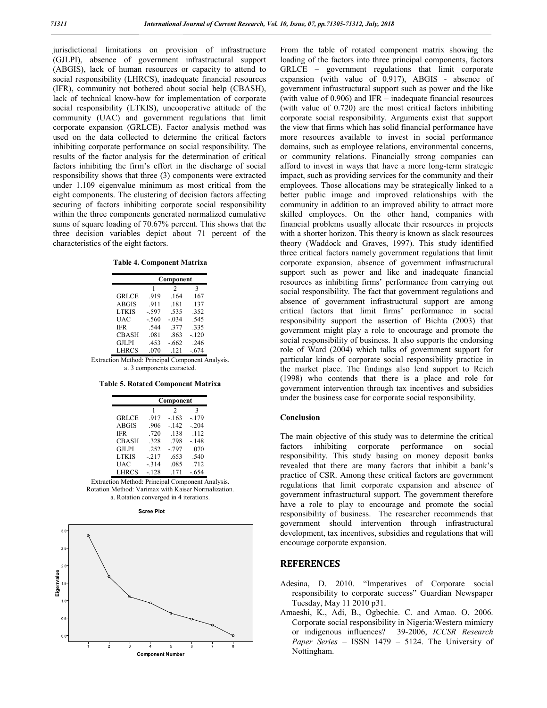jurisdictional limitations on provision of infrastructure (GJLPI), absence of government infrastructural support (ABGIS), lack of human resources or capacity to attend to social responsibility (LHRCS), inadequate financial resources (IFR), community not bothered about social help (CBASH), lack of technical know-how for implementation of corporate social responsibility (LTKIS), uncooperative attitude of the community (UAC) and government regulations that limit corporate expansion (GRLCE). Factor analysis method was used on the data collected to determine the critical factors inhibiting corporate performance on social responsibility. The results of the factor analysis for the determination of critical factors inhibiting the firm's effort in the discharge of social responsibility shows that three (3) components were extracted under 1.109 eigenvalue minimum as most critical from the eight components. The clustering of decision factors affecting securing of factors inhibiting corporate social responsibility within the three components generated normalized cumulative sums of square loading of 70.67% percent. This shows that the three decision variables depict about 71 percent of the characteristics of the eight factors.

|  | <b>Table 4. Component Matrixa</b> |  |
|--|-----------------------------------|--|
|--|-----------------------------------|--|

|                                                  | Component                  |                |         |  |  |
|--------------------------------------------------|----------------------------|----------------|---------|--|--|
|                                                  |                            | $\mathfrak{D}$ | 3       |  |  |
| <b>GRLCE</b>                                     | .919                       | .164           | .167    |  |  |
| <b>ABGIS</b>                                     | .911                       | .181           | .137    |  |  |
| LTKIS                                            | $-.597$                    | .535           | .352    |  |  |
| <b>UAC</b>                                       | $-.560$                    | $-0.34$        | .545    |  |  |
| IFR.                                             | .544                       | -377           | .335    |  |  |
| <b>CBASH</b>                                     | .081                       | .863           | $-120$  |  |  |
| <b>GJLPI</b>                                     | .453                       | $-662$         | .246    |  |  |
| <b>LHRCS</b>                                     | .070                       | .121           | $-.674$ |  |  |
| Extraction Method: Principal Component Analysis. |                            |                |         |  |  |
|                                                  | a. 3 components extracted. |                |         |  |  |

|              | Component |                |        |  |  |
|--------------|-----------|----------------|--------|--|--|
|              | 1         | $\mathfrak{D}$ | 3      |  |  |
| <b>GRLCE</b> | .917      | $-163$         | $-179$ |  |  |
| <b>ABGIS</b> | .906      | $-142$         | $-204$ |  |  |
| <b>IFR</b>   | .720      | .138           | .112   |  |  |
| <b>CBASH</b> | 328       | .798           | $-148$ |  |  |
| <b>GJLPI</b> | .252      | $-0.797$       | .070   |  |  |
| <b>LTKIS</b> | $-217$    | .653           | .540   |  |  |
| UAC          | $-314$    | .085           | .712   |  |  |
| <b>LHRCS</b> | $-128$    | .171           | $-654$ |  |  |

Extraction Method: Principal Component Analysis. Rotation Method: Varimax with Kaiser Normalization. a. Rotation converged in 4 iterations.





From the table of rotated component matrix showing the loading of the factors into three principal components, factors GRLCE – government regulations that limit corporate expansion (with value of 0.917), ABGIS - absence of government infrastructural support such as power and the like (with value of 0.906) and IFR – inadequate financial resources (with value of 0.720) are the most critical factors inhibiting corporate social responsibility. Arguments exist that support the view that firms which has solid financial performance have more resources available to invest in social performance domains, such as employee relations, environmental concerns, or community relations. Financially strong companies can afford to invest in ways that have a more long-term strategic impact, such as providing services for the community and their employees. Those allocations may be strategically linked to a better public image and improved relationships with the community in addition to an improved ability to attract more skilled employees. On the other hand, companies with financial problems usually allocate their resources in projects with a shorter horizon. This theory is known as slack resources theory (Waddock and Graves, 1997). This study identified three critical factors namely government regulations that limit corporate expansion, absence of government infrastructural support such as power and like and inadequate financial resources as inhibiting firms' performance from carrying out social responsibility. The fact that government regulations and absence of government infrastructural support are among critical factors that limit firms' performance in social responsibility support the assertion of Bichta (2003) that government might play a role to encourage and promote the social responsibility of business. It also supports the endorsing role of Ward (2004) which talks of government support for particular kinds of corporate social responsibility practice in the market place. The findings also lend support to Reich (1998) who contends that there is a place and role for government intervention through tax incentives and subsidies under the business case for corporate social responsibility.

### **Conclusion**

The main objective of this study was to determine the critical factors inhibiting corporate performance on social responsibility. This study basing on money deposit banks revealed that there are many factors that inhibit a bank's practice of CSR. Among these critical factors are government regulations that limit corporate expansion and absence of government infrastructural support. The government therefore have a role to play to encourage and promote the social responsibility of business. The researcher recommends that government should intervention through infrastructural development, tax incentives, subsidies and regulations that will encourage corporate expansion.

## **REFERENCES**

- Adesina, D. 2010. "Imperatives of Corporate social responsibility to corporate success" Guardian Newspaper Tuesday, May 11 2010 p31.
- Amaeshi, K., Adi, B., Ogbechie. C. and Amao. O. 2006. Corporate social responsibility in Nigeria:Western mimicry or indigenous influences? 39-2006, *ICCSR Research Paper Series* – ISSN 1479 – 5124. The University of Nottingham.